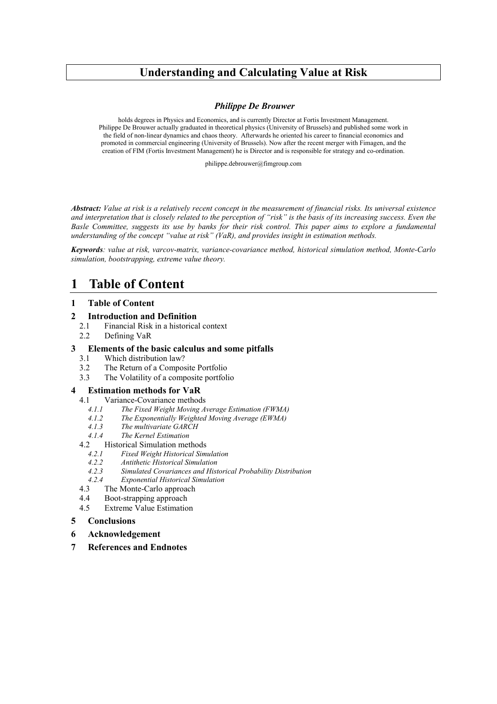# **Understanding and Calculating Value at Risk**

#### *Philippe De Brouwer*

holds degrees in Physics and Economics, and is currently Director at Fortis Investment Management. Philippe De Brouwer actually graduated in theoretical physics (University of Brussels) and published some work in the field of non-linear dynamics and chaos theory. Afterwards he oriented his career to financial economics and promoted in commercial engineering (University of Brussels). Now after the recent merger with Fimagen, and the creation of FIM (Fortis Investment Management) he is Director and is responsible for strategy and co-ordination.

philippe.debrouwer@fimgroup.com

*Abstract: Value at risk is a relatively recent concept in the measurement of financial risks. Its universal existence and interpretation that is closely related to the perception of "risk" is the basis of its increasing success. Even the Basle Committee, suggests its use by banks for their risk control. This paper aims to explore a fundamental understanding of the concept "value at risk" (VaR), and provides insight in estimation methods.*

*Keywords: value at risk, varcov-matrix, variance-covariance method, historical simulation method, Monte-Carlo simulation, bootstrapping, extreme value theory.*

# **1 Table of Content**

#### **1 Table of Content**

#### **2 Introduction and Definition**

- 2.1 Financial Risk in a historical context
- 2.2 Defining VaR

#### **3 Elements of the basic calculus and some pitfalls**

- 3.1 Which distribution law?
- 3.2 The Return of a Composite Portfolio
- 3.3 The Volatility of a composite portfolio

#### **4 Estimation methods for VaR**

- 4.1 Variance-Covariance methods
	- *4.1.1 The Fixed Weight Moving Average Estimation (FWMA)*
	- *4.1.2 The Exponentially Weighted Moving Average (EWMA)*
	- *4.1.3 The multivariate GARCH*
	- *4.1.4 The Kernel Estimation*
- 4.2 Historical Simulation methods<br>4.2.1 Fixed Weight Historical Sim
	- *4.2.1 Fixed Weight Historical Simulation*
	- *4.2.2 Antithetic Historical Simulation*
	- *4.2.3 Simulated Covariances and Historical Probability Distribution*
	- *4.2.4 Exponential Historical Simulation*
- 4.3 The Monte-Carlo approach
- 4.4 Boot-strapping approach
- 4.5 Extreme Value Estimation

### **5 Conclusions**

- **6 Acknowledgement**
- **7 References and Endnotes**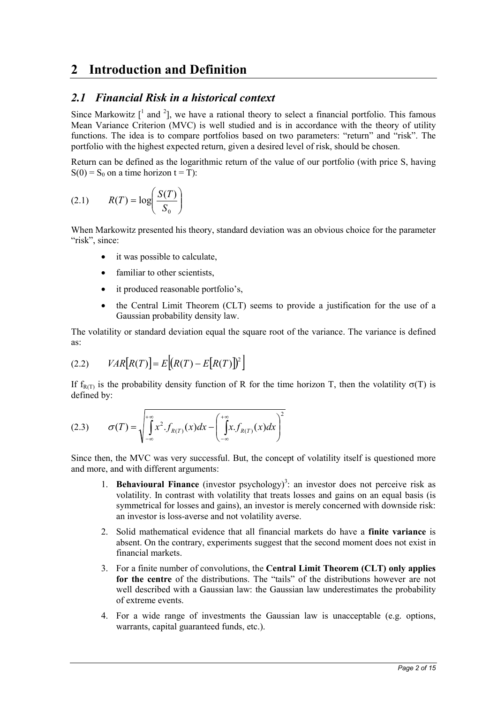# **2 Introduction and Definition**

## *2.1 Financial Risk in a historical context*

Since Markowitz  $\left[ \begin{array}{ccc} 1 \end{array} \right]$  and  $\left[ \begin{array}{ccc} 2 \end{array} \right]$ , we have a rational theory to select a financial portfolio. This famous Mean Variance Criterion (MVC) is well studied and is in accordance with the theory of utility functions. The idea is to compare portfolios based on two parameters: "return" and "risk". The portfolio with the highest expected return, given a desired level of risk, should be chosen.

Return can be defined as the logarithmic return of the value of our portfolio (with price S, having  $S(0) = S_0$  on a time horizon  $t = T$ :

$$
(2.1) \qquad R(T) = \log\left(\frac{S(T)}{S_0}\right)
$$

When Markowitz presented his theory, standard deviation was an obvious choice for the parameter "risk", since:

- it was possible to calculate,
- familiar to other scientists,
- it produced reasonable portfolio's,
- the Central Limit Theorem (CLT) seems to provide a justification for the use of a Gaussian probability density law.

The volatility or standard deviation equal the square root of the variance. The variance is defined as:

$$
(2.2) \qquad VAR[R(T)] = E[(R(T) - E[R(T)])^2]
$$

If  $f_{R(T)}$  is the probability density function of R for the time horizon T, then the volatility  $\sigma(T)$  is defined by:

$$
(2.3) \qquad \sigma(T) = \sqrt{\int_{-\infty}^{+\infty} x^2 f_{R(T)}(x) dx - \left(\int_{-\infty}^{+\infty} x f_{R(T)}(x) dx\right)^2}
$$

Since then, the MVC was very successful. But, the concept of volatility itself is questioned more and more, and with different arguments:

- 1. **Behavioural Finance** (investor psychology)<sup>3</sup>: an investor does not perceive risk as volatility. In contrast with volatility that treats losses and gains on an equal basis (is symmetrical for losses and gains), an investor is merely concerned with downside risk: an investor is loss-averse and not volatility averse.
- 2. Solid mathematical evidence that all financial markets do have a **finite variance** is absent. On the contrary, experiments suggest that the second moment does not exist in financial markets.
- 3. For a finite number of convolutions, the **Central Limit Theorem (CLT) only applies for the centre** of the distributions. The "tails" of the distributions however are not well described with a Gaussian law: the Gaussian law underestimates the probability of extreme events.
- 4. For a wide range of investments the Gaussian law is unacceptable (e.g. options, warrants, capital guaranteed funds, etc.).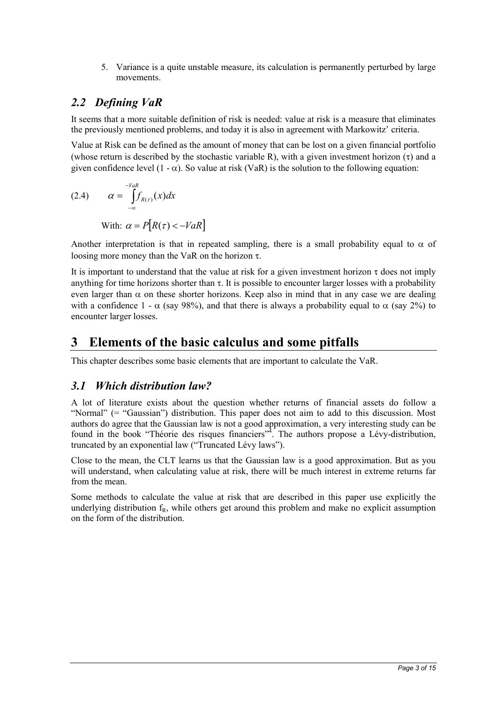5. Variance is a quite unstable measure, its calculation is permanently perturbed by large movements.

# *2.2 Defining VaR*

It seems that a more suitable definition of risk is needed: value at risk is a measure that eliminates the previously mentioned problems, and today it is also in agreement with Markowitz' criteria.

Value at Risk can be defined as the amount of money that can be lost on a given financial portfolio (whose return is described by the stochastic variable R), with a given investment horizon  $(\tau)$  and a given confidence level  $(1 - \alpha)$ . So value at risk (VaR) is the solution to the following equation:

(2.4) 
$$
\alpha = \int_{-\infty}^{-VaR} f_{R(\tau)}(x) dx
$$
  
With:  $\alpha = P[R(\tau) < -VaR]$ 

Another interpretation is that in repeated sampling, there is a small probability equal to  $\alpha$  of loosing more money than the VaR on the horizon  $\tau$ .

It is important to understand that the value at risk for a given investment horizon  $\tau$  does not imply anything for time horizons shorter than  $\tau$ . It is possible to encounter larger losses with a probability even larger than  $\alpha$  on these shorter horizons. Keep also in mind that in any case we are dealing with a confidence  $1 - \alpha$  (say 98%), and that there is always a probability equal to  $\alpha$  (say 2%) to encounter larger losses.

# **3 Elements of the basic calculus and some pitfalls**

This chapter describes some basic elements that are important to calculate the VaR.

## *3.1 Which distribution law?*

A lot of literature exists about the question whether returns of financial assets do follow a "Normal" (= "Gaussian") distribution. This paper does not aim to add to this discussion. Most authors do agree that the Gaussian law is not a good approximation, a very interesting study can be found in the book "Théorie des risques financiers"<sup>4</sup>. The authors propose a Lévy-distribution, truncated by an exponential law ("Truncated Lévy laws").

Close to the mean, the CLT learns us that the Gaussian law is a good approximation. But as you will understand, when calculating value at risk, there will be much interest in extreme returns far from the mean.

Some methods to calculate the value at risk that are described in this paper use explicitly the underlying distribution  $f_R$ , while others get around this problem and make no explicit assumption on the form of the distribution.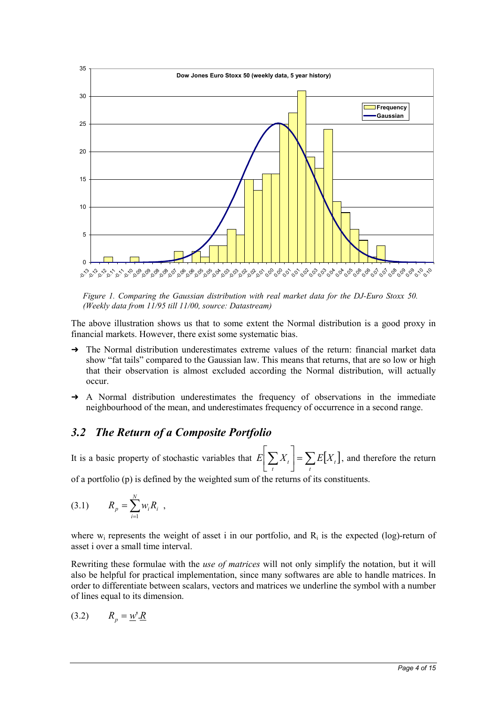

*Figure 1. Comparing the Gaussian distribution with real market data for the DJ-Euro Stoxx 50. (Weekly data from 11/95 till 11/00, source: Datastream)*

The above illustration shows us that to some extent the Normal distribution is a good proxy in financial markets. However, there exist some systematic bias.

- $\rightarrow$  The Normal distribution underestimates extreme values of the return: financial market data show "fat tails" compared to the Gaussian law. This means that returns, that are so low or high that their observation is almost excluded according the Normal distribution, will actually occur.
- → A Normal distribution underestimates the frequency of observations in the immediate neighbourhood of the mean, and underestimates frequency of occurrence in a second range.

## *3.2 The Return of a Composite Portfolio*

It is a basic property of stochastic variables that  $E\left[\sum_{t} X_t\right] = \sum_{t} E[X_t]$ Γ *t t t*  $E\left[\sum X_t\right] = \sum E[X_t]$ , and therefore the return

of a portfolio (p) is defined by the weighted sum of the returns of its constituents.

$$
(3.1) \t R_p = \sum_{i=1}^N w_i R_i ,
$$

where  $w_i$  represents the weight of asset i in our portfolio, and  $R_i$  is the expected (log)-return of asset i over a small time interval.

Rewriting these formulae with the *use of matrices* will not only simplify the notation, but it will also be helpful for practical implementation, since many softwares are able to handle matrices. In order to differentiate between scalars, vectors and matrices we underline the symbol with a number of lines equal to its dimension.

$$
(3.2) \t R_p = \underline{w'} \underline{R}
$$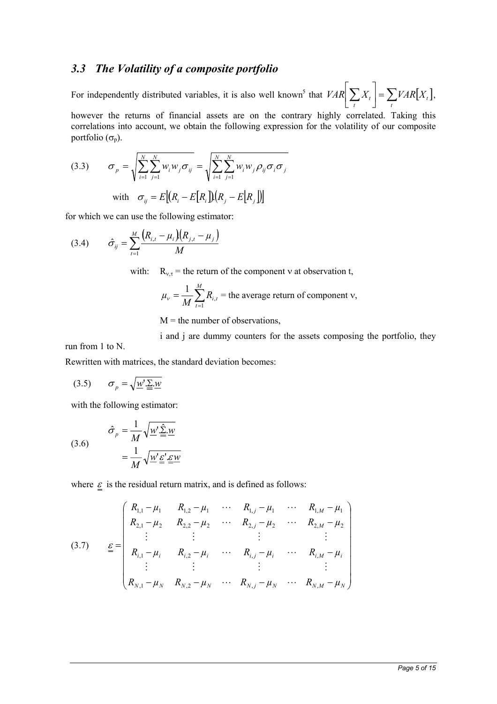## *3.3 The Volatility of a composite portfolio*

For independently distributed variables, it is also well known<sup>5</sup> that  $VAR \left[ \sum_{t} X_t \right] = \sum_{t} VAR[X_t]$ Γ *t t t*  $VAR \sum X_t$  =  $\sum VAR[X_t]$ , however the returns of financial assets are on the contrary highly correlated. Taking this correlations into account, we obtain the following expression for the volatility of our composite

(3.3) 
$$
\sigma_p = \sqrt{\sum_{i=1}^{N} \sum_{j=1}^{N} w_i w_j \sigma_{ij}} = \sqrt{\sum_{i=1}^{N} \sum_{j=1}^{N} w_i w_j \rho_{ij} \sigma_i \sigma_j}
$$
  
with 
$$
\sigma_{ij} = E[(R_i - E[R_i])[R_j - E[R_j])]
$$

for which we can use the following estimator:

portfolio  $(\sigma_p)$ .

(3.4) 
$$
\hat{\sigma}_{ij} = \sum_{t=1}^{M} \frac{(R_{i,t} - \mu_i)(R_{j,t} - \mu_j)}{M}
$$

with:  $R_{v,\tau}$  = the return of the component v at observation t,

$$
\mu_{v} = \frac{1}{M} \sum_{t=1}^{M} R_{i,t}
$$
 = the average return of component v,

 $M =$  the number of observations,

i and j are dummy counters for the assets composing the portfolio, they run from 1 to N.

Rewritten with matrices, the standard deviation becomes:

$$
(3.5) \qquad \sigma_p = \sqrt{\underline{w'} \underline{\underline{\Sigma}} \underline{w}}
$$

with the following estimator:

(3.6) 
$$
\hat{\sigma}_p = \frac{1}{M} \sqrt{\underline{w}' \hat{\underline{\Sigma}} \cdot \underline{w}} = \frac{1}{M} \sqrt{\underline{w}' \underline{\underline{\varepsilon}}' \cdot \underline{\underline{\varepsilon} \underline{w}}}
$$

where  $\underline{\varepsilon}$  is the residual return matrix, and is defined as follows:

$$
(3.7) \quad \underline{\varepsilon} = \begin{pmatrix} R_{1,1} - \mu_1 & R_{1,2} - \mu_1 & \cdots & R_{1,j} - \mu_1 & \cdots & R_{1,M} - \mu_1 \\ R_{2,1} - \mu_2 & R_{2,2} - \mu_2 & \cdots & R_{2,j} - \mu_2 & \cdots & R_{2,M} - \mu_2 \\ \vdots & \vdots & & \vdots & & \vdots \\ R_{i,1} - \mu_i & R_{i,2} - \mu_i & \cdots & R_{i,j} - \mu_i & \cdots & R_{i,M} - \mu_i \\ \vdots & & \vdots & & \vdots & & \vdots \\ R_{N,1} - \mu_N & R_{N,2} - \mu_N & \cdots & R_{N,j} - \mu_N & \cdots & R_{N,M} - \mu_N \end{pmatrix}
$$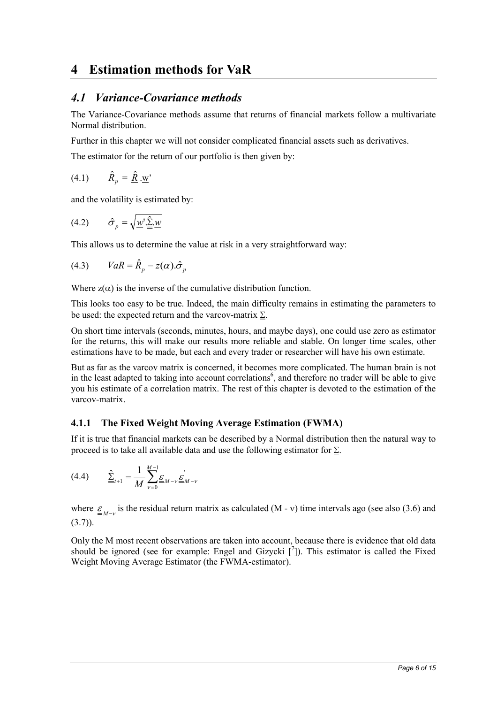# **4 Estimation methods for VaR**

## *4.1 Variance-Covariance methods*

The Variance-Covariance methods assume that returns of financial markets follow a multivariate Normal distribution.

Further in this chapter we will not consider complicated financial assets such as derivatives.

The estimator for the return of our portfolio is then given by:

 $(4.1)$  $\hat{R}_n = \hat{R} \cdot \underline{w}$ 

and the volatility is estimated by:

$$
(4.2) \qquad \hat{\sigma}_p = \sqrt{\underline{w'} \cdot \underline{\hat{\Sigma}} \cdot \underline{w}}
$$

This allows us to determine the value at risk in a very straightforward way:

$$
(4.3) \t VaR = \hat{R}_p - z(\alpha).\hat{\sigma}_p
$$

Where  $z(\alpha)$  is the inverse of the cumulative distribution function.

This looks too easy to be true. Indeed, the main difficulty remains in estimating the parameters to be used: the expected return and the varcov-matrix  $\Sigma$ .

On short time intervals (seconds, minutes, hours, and maybe days), one could use zero as estimator for the returns, this will make our results more reliable and stable. On longer time scales, other estimations have to be made, but each and every trader or researcher will have his own estimate.

But as far as the varcov matrix is concerned, it becomes more complicated. The human brain is not in the least adapted to taking into account correlations<sup>6</sup>, and therefore no trader will be able to give you his estimate of a correlation matrix. The rest of this chapter is devoted to the estimation of the varcov-matrix.

## **4.1.1 The Fixed Weight Moving Average Estimation (FWMA)**

If it is true that financial markets can be described by a Normal distribution then the natural way to proceed is to take all available data and use the following estimator for  $\Sigma$ .

$$
(4.4) \qquad \hat{\underline{\Sigma}}_{t+1} = \frac{1}{M} \sum_{\nu=0}^{M-1} \underline{\underline{\mathcal{E}}}_{M-\nu} \underline{\underline{\mathcal{E}}}_{M-\nu}
$$

where  $\epsilon_{M-v}$  is the residual return matrix as calculated (M - v) time intervals ago (see also (3.6) and  $(3.7)$ .

Only the M most recent observations are taken into account, because there is evidence that old data should be ignored (see for example: Engel and Gizycki  $\lceil \frac{7}{1} \rceil$ ). This estimator is called the Fixed Weight Moving Average Estimator (the FWMA-estimator).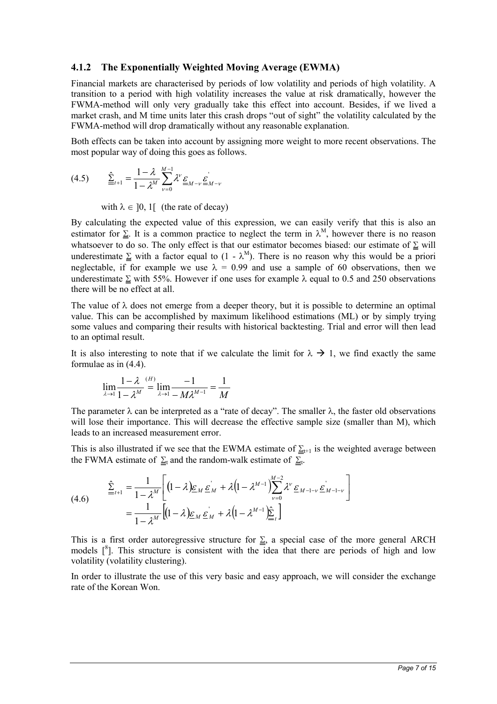### **4.1.2 The Exponentially Weighted Moving Average (EWMA)**

Financial markets are characterised by periods of low volatility and periods of high volatility. A transition to a period with high volatility increases the value at risk dramatically, however the FWMA-method will only very gradually take this effect into account. Besides, if we lived a market crash, and M time units later this crash drops "out of sight" the volatility calculated by the FWMA-method will drop dramatically without any reasonable explanation.

Both effects can be taken into account by assigning more weight to more recent observations. The most popular way of doing this goes as follows.

$$
(4.5) \qquad \hat{\underline{\Sigma}}_{t+1} = \frac{1 - \lambda}{1 - \lambda^M} \sum_{\nu=0}^{M-1} \lambda^{\nu} \underline{\underline{\varepsilon}}_{M-\nu} \underline{\underline{\varepsilon}}_{M-\nu}
$$

with  $\lambda \in [0, 1]$  (the rate of decay)

By calculating the expected value of this expression, we can easily verify that this is also an estimator for  $\Sigma$ . It is a common practice to neglect the term in  $\lambda^M$ , however there is no reason whatsoever to do so. The only effect is that our estimator becomes biased: our estimate of  $\Sigma$  will underestimate  $\Sigma$  with a factor equal to  $(1 - \lambda^M)$ . There is no reason why this would be a priori neglectable, if for example we use  $\lambda = 0.99$  and use a sample of 60 observations, then we underestimate  $\Sigma$  with 55%. However if one uses for example  $\lambda$  equal to 0.5 and 250 observations there will be no effect at all.

The value of  $\lambda$  does not emerge from a deeper theory, but it is possible to determine an optimal value. This can be accomplished by maximum likelihood estimations (ML) or by simply trying some values and comparing their results with historical backtesting. Trial and error will then lead to an optimal result.

It is also interesting to note that if we calculate the limit for  $\lambda \to 1$ , we find exactly the same formulae as in (4.4).

$$
\lim_{\lambda \to 1} \frac{1 - \lambda}{1 - \lambda^{M}} = \lim_{\lambda \to 1} \frac{-1}{-M\lambda^{M-1}} = \frac{1}{M}
$$

The parameter  $\lambda$  can be interpreted as a "rate of decay". The smaller  $\lambda$ , the faster old observations will lose their importance. This will decrease the effective sample size (smaller than M), which leads to an increased measurement error.

This is also illustrated if we see that the EWMA estimate of  $\underline{\Sigma}_{t+1}$  is the weighted average between the FWMA estimate of  $\Sigma_t$  and the random-walk estimate of  $\Sigma_t$ .

$$
(4.6) \qquad \frac{\hat{\Sigma}_{t+1} = \frac{1}{1 - \lambda^M} \bigg[ (1 - \lambda) \underline{\varepsilon}_M \, \underline{\varepsilon}_M + \lambda (1 - \lambda^{M-1}) \sum_{\nu=0}^{M-2} \lambda^{\nu} \, \underline{\varepsilon}_{M-1-\nu} \, \underline{\varepsilon}_{M-1-\nu} \bigg]}{\bigg[ 1 - \lambda^M \bigg[ (1 - \lambda) \underline{\varepsilon}_M \, \underline{\varepsilon}_M + \lambda (1 - \lambda^{M-1}) \underline{\hat{\Sigma}}_t \bigg]}
$$

This is a first order autoregressive structure for  $\Sigma$ , a special case of the more general ARCH models  $\int_{0}^{8}$ ]. This structure is consistent with the idea that there are periods of high and low volatility (volatility clustering).

In order to illustrate the use of this very basic and easy approach, we will consider the exchange rate of the Korean Won.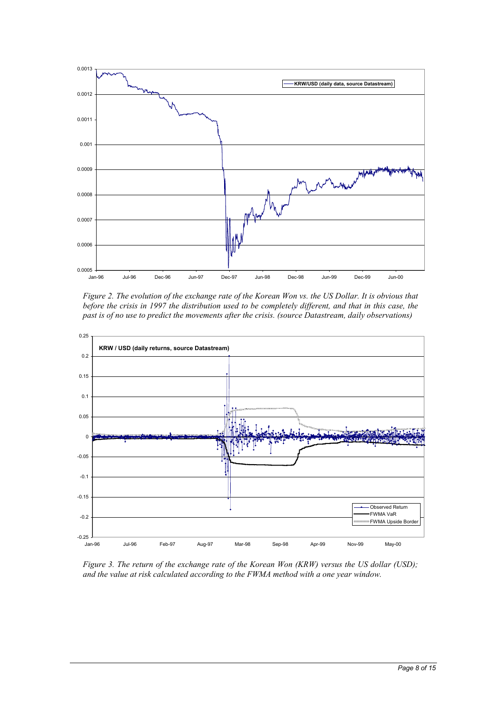

*Figure 2. The evolution of the exchange rate of the Korean Won vs. the US Dollar. It is obvious that before the crisis in 1997 the distribution used to be completely different, and that in this case, the past is of no use to predict the movements after the crisis. (source Datastream, daily observations)*



*Figure 3. The return of the exchange rate of the Korean Won (KRW) versus the US dollar (USD); and the value at risk calculated according to the FWMA method with a one year window.*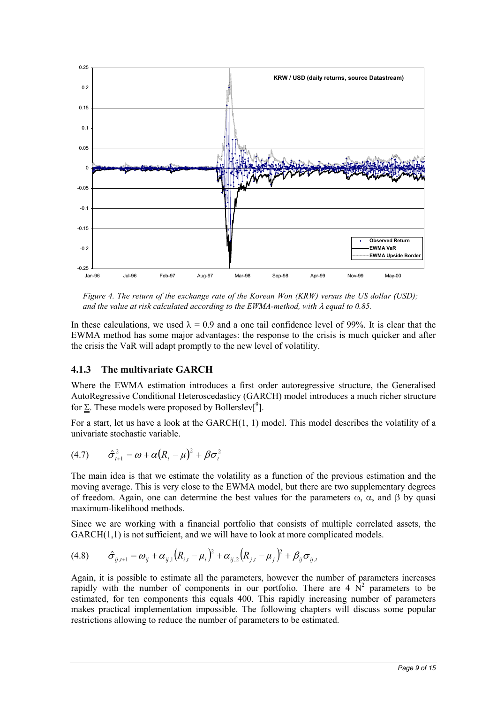

*Figure 4. The return of the exchange rate of the Korean Won (KRW) versus the US dollar (USD); and the value at risk calculated according to the EWMA-method, with*  $\lambda$  *equal to 0.85.* 

In these calculations, we used  $\lambda = 0.9$  and a one tail confidence level of 99%. It is clear that the EWMA method has some major advantages: the response to the crisis is much quicker and after the crisis the VaR will adapt promptly to the new level of volatility.

## **4.1.3 The multivariate GARCH**

Where the EWMA estimation introduces a first order autoregressive structure, the Generalised AutoRegressive Conditional Heteroscedasticy (GARCH) model introduces a much richer structure for  $\Sigma$ . These models were proposed by Bollerslev<sup>[9</sup>].

For a start, let us have a look at the GARCH(1, 1) model. This model describes the volatility of a univariate stochastic variable.

$$
(4.7) \qquad \hat{\sigma}_{t+1}^2 = \omega + \alpha (R_t - \mu)^2 + \beta \sigma_t^2
$$

The main idea is that we estimate the volatility as a function of the previous estimation and the moving average. This is very close to the EWMA model, but there are two supplementary degrees of freedom. Again, one can determine the best values for the parameters  $\omega$ ,  $\alpha$ , and  $\beta$  by quasi maximum-likelihood methods.

Since we are working with a financial portfolio that consists of multiple correlated assets, the  $GARCH(1,1)$  is not sufficient, and we will have to look at more complicated models.

$$
(4.8) \qquad \hat{\sigma}_{ij,t+1} = \omega_{ij} + \alpha_{ij,1} (R_{i,t} - \mu_i)^2 + \alpha_{ij,2} (R_{j,t} - \mu_j)^2 + \beta_{ij} \sigma_{ij,t}
$$

Again, it is possible to estimate all the parameters, however the number of parameters increases rapidly with the number of components in our portfolio. There are  $4 \overrightarrow{N}^2$  parameters to be estimated, for ten components this equals 400. This rapidly increasing number of parameters makes practical implementation impossible. The following chapters will discuss some popular restrictions allowing to reduce the number of parameters to be estimated.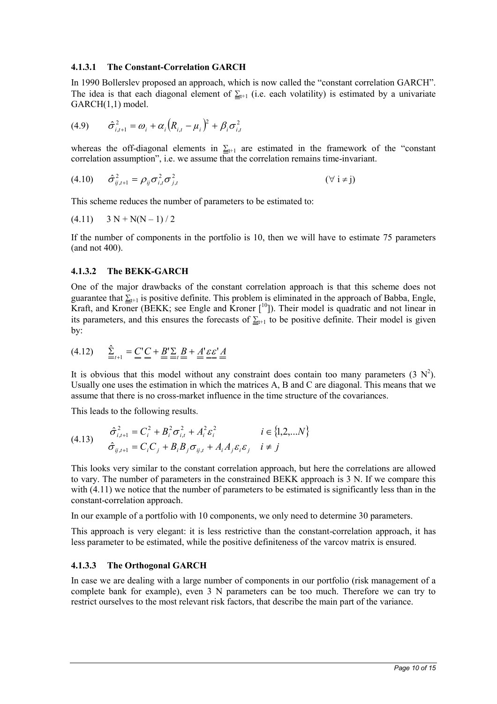### **4.1.3.1 The Constant-Correlation GARCH**

In 1990 Bollerslev proposed an approach, which is now called the "constant correlation GARCH". The idea is that each diagonal element of  $\Sigma_{t+1}$  (i.e. each volatility) is estimated by a univariate GARCH(1,1) model.

(4.9) 
$$
\hat{\sigma}_{i,t+1}^2 = \omega_i + \alpha_i (R_{i,t} - \mu_i)^2 + \beta_i \sigma_{i,t}^2
$$

whereas the off-diagonal elements in  $\Sigma_{t+1}$  are estimated in the framework of the "constant" correlation assumption", i.e. we assume that the correlation remains time-invariant.

(4.10) 
$$
\hat{\sigma}_{ij,t+1}^2 = \rho_{ij} \sigma_{i,t}^2 \sigma_{j,t}^2
$$
 (7)  $i \neq j$ )

This scheme reduces the number of parameters to be estimated to:

$$
(4.11) \quad 3 N + N(N-1)/2
$$

If the number of components in the portfolio is 10, then we will have to estimate 75 parameters (and not 400).

#### **4.1.3.2 The BEKK-GARCH**

One of the major drawbacks of the constant correlation approach is that this scheme does not guarantee that  $\Sigma_{t+1}$  is positive definite. This problem is eliminated in the approach of Babba, Engle, Kraft, and Kroner (BEKK; see Engle and Kroner [<sup>10</sup>]). Their model is quadratic and not linear in its parameters, and this ensures the forecasts of  $\Sigma_{t+1}$  to be positive definite. Their model is given by:

$$
(4.12) \qquad \underline{\hat{\Sigma}}_{t+1} = \underline{\underline{C}}^{\dagger} \underline{\underline{C}} + \underline{\underline{B}}^{\dagger} \underline{\underline{\Sigma}}_{t} \underline{\underline{B}} + \underline{\underline{A}}^{\dagger} \underline{\underline{\varepsilon}} \underline{\underline{\varepsilon}}^{\dagger} \underline{\underline{A}}
$$

It is obvious that this model without any constraint does contain too many parameters  $(3 \text{ N}^2)$ . Usually one uses the estimation in which the matrices A, B and C are diagonal. This means that we assume that there is no cross-market influence in the time structure of the covariances.

This leads to the following results.

(4.13) 
$$
\hat{\sigma}_{i,t+1}^{2} = C_{i}^{2} + B_{i}^{2} \sigma_{i,t}^{2} + A_{i}^{2} \varepsilon_{i}^{2} \qquad i \in \{1, 2, ... N\}
$$

$$
\hat{\sigma}_{i,j,t+1} = C_{i} C_{j} + B_{i} B_{j} \sigma_{i,j,t} + A_{i} A_{j} \varepsilon_{i} \varepsilon_{j} \qquad i \neq j
$$

This looks very similar to the constant correlation approach, but here the correlations are allowed to vary. The number of parameters in the constrained BEKK approach is 3 N. If we compare this with  $(4.11)$  we notice that the number of parameters to be estimated is significantly less than in the constant-correlation approach.

In our example of a portfolio with 10 components, we only need to determine 30 parameters.

This approach is very elegant: it is less restrictive than the constant-correlation approach, it has less parameter to be estimated, while the positive definiteness of the varcov matrix is ensured.

### **4.1.3.3 The Orthogonal GARCH**

In case we are dealing with a large number of components in our portfolio (risk management of a complete bank for example), even 3 N parameters can be too much. Therefore we can try to restrict ourselves to the most relevant risk factors, that describe the main part of the variance.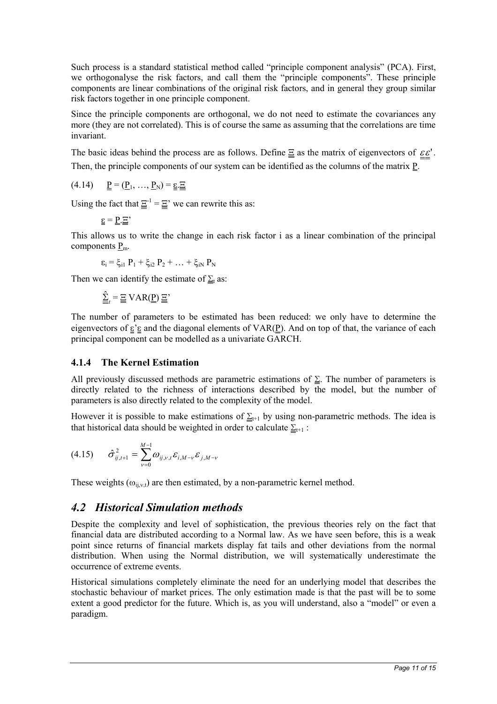Such process is a standard statistical method called "principle component analysis" (PCA). First, we orthogonalyse the risk factors, and call them the "principle components". These principle components are linear combinations of the original risk factors, and in general they group similar risk factors together in one principle component.

Since the principle components are orthogonal, we do not need to estimate the covariances any more (they are not correlated). This is of course the same as assuming that the correlations are time invariant.

The basic ideas behind the process are as follows. Define  $\Xi$  as the matrix of eigenvectors of  $\varepsilon \varepsilon'$ . Then, the principle components of our system can be identified as the columns of the matrix  $\underline{P}$ .

(4.14)  $P = (P_1, ..., P_N) = \varepsilon. \Xi$ 

Using the fact that  $\underline{\Xi}^{-1} = \underline{\Xi}$ ' we can rewrite this as:

$$
\underline{\underline{\epsilon}} = \underline{\underline{P}} \cdot \underline{\Xi}'
$$

This allows us to write the change in each risk factor i as a linear combination of the principal components  $P_{m}$ .

$$
\epsilon_i = \xi_{i1} P_1 + \xi_{i2} P_2 + \ldots + \xi_{iN} P_N
$$

Then we can identify the estimate of  $\Sigma_t$  as:

 $\hat{\Sigma}_i = \Xi \text{VAR}(\underline{P}) \Xi'$ 

The number of parameters to be estimated has been reduced: we only have to determine the eigenvectors of  $\underline{\varepsilon}'\underline{\varepsilon}$  and the diagonal elements of VAR(P). And on top of that, the variance of each principal component can be modelled as a univariate GARCH.

### **4.1.4 The Kernel Estimation**

All previously discussed methods are parametric estimations of  $\Sigma$ . The number of parameters is directly related to the richness of interactions described by the model, but the number of parameters is also directly related to the complexity of the model.

However it is possible to make estimations of  $\Sigma_{t+1}$  by using non-parametric methods. The idea is that historical data should be weighted in order to calculate  $\Sigma_{t+1}$ :

$$
(4.15) \qquad \hat{\sigma}_{ij,t+1}^{2} = \sum_{\nu=0}^{M-1} \omega_{ij,\nu,t} \varepsilon_{i,M-\nu} \varepsilon_{j,M-\nu}
$$

These weights  $(\omega_{ij,v,t})$  are then estimated, by a non-parametric kernel method.

## *4.2 Historical Simulation methods*

Despite the complexity and level of sophistication, the previous theories rely on the fact that financial data are distributed according to a Normal law. As we have seen before, this is a weak point since returns of financial markets display fat tails and other deviations from the normal distribution. When using the Normal distribution, we will systematically underestimate the occurrence of extreme events.

Historical simulations completely eliminate the need for an underlying model that describes the stochastic behaviour of market prices. The only estimation made is that the past will be to some extent a good predictor for the future. Which is, as you will understand, also a "model" or even a paradigm.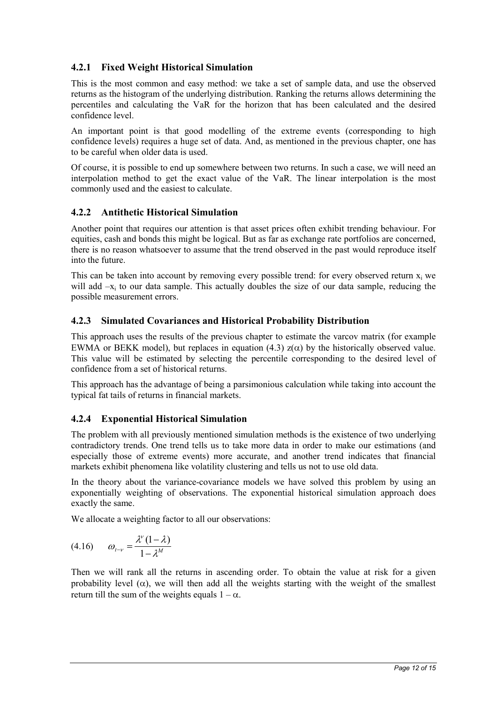## **4.2.1 Fixed Weight Historical Simulation**

This is the most common and easy method: we take a set of sample data, and use the observed returns as the histogram of the underlying distribution. Ranking the returns allows determining the percentiles and calculating the VaR for the horizon that has been calculated and the desired confidence level.

An important point is that good modelling of the extreme events (corresponding to high confidence levels) requires a huge set of data. And, as mentioned in the previous chapter, one has to be careful when older data is used.

Of course, it is possible to end up somewhere between two returns. In such a case, we will need an interpolation method to get the exact value of the VaR. The linear interpolation is the most commonly used and the easiest to calculate.

### **4.2.2 Antithetic Historical Simulation**

Another point that requires our attention is that asset prices often exhibit trending behaviour. For equities, cash and bonds this might be logical. But as far as exchange rate portfolios are concerned, there is no reason whatsoever to assume that the trend observed in the past would reproduce itself into the future.

This can be taken into account by removing every possible trend: for every observed return  $x_i$  we will add  $-x<sub>i</sub>$  to our data sample. This actually doubles the size of our data sample, reducing the possible measurement errors.

### **4.2.3 Simulated Covariances and Historical Probability Distribution**

This approach uses the results of the previous chapter to estimate the varcov matrix (for example EWMA or BEKK model), but replaces in equation (4.3)  $z(\alpha)$  by the historically observed value. This value will be estimated by selecting the percentile corresponding to the desired level of confidence from a set of historical returns.

This approach has the advantage of being a parsimonious calculation while taking into account the typical fat tails of returns in financial markets.

## **4.2.4 Exponential Historical Simulation**

The problem with all previously mentioned simulation methods is the existence of two underlying contradictory trends. One trend tells us to take more data in order to make our estimations (and especially those of extreme events) more accurate, and another trend indicates that financial markets exhibit phenomena like volatility clustering and tells us not to use old data.

In the theory about the variance-covariance models we have solved this problem by using an exponentially weighting of observations. The exponential historical simulation approach does exactly the same.

We allocate a weighting factor to all our observations:

$$
(4.16) \qquad \omega_{t-\nu} = \frac{\lambda^{\nu} (1-\lambda)}{1-\lambda^{\mathcal{M}}}
$$

Then we will rank all the returns in ascending order. To obtain the value at risk for a given probability level ( $\alpha$ ), we will then add all the weights starting with the weight of the smallest return till the sum of the weights equals  $1 - \alpha$ .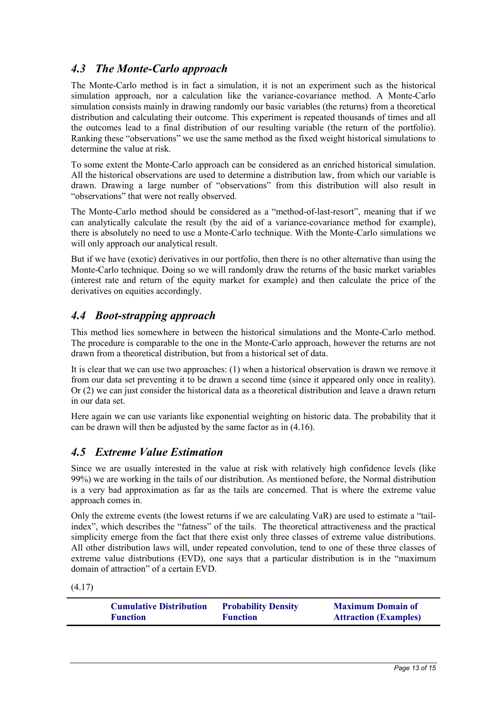# *4.3 The Monte-Carlo approach*

The Monte-Carlo method is in fact a simulation, it is not an experiment such as the historical simulation approach, nor a calculation like the variance-covariance method. A Monte-Carlo simulation consists mainly in drawing randomly our basic variables (the returns) from a theoretical distribution and calculating their outcome. This experiment is repeated thousands of times and all the outcomes lead to a final distribution of our resulting variable (the return of the portfolio). Ranking these "observations" we use the same method as the fixed weight historical simulations to determine the value at risk.

To some extent the Monte-Carlo approach can be considered as an enriched historical simulation. All the historical observations are used to determine a distribution law, from which our variable is drawn. Drawing a large number of "observations" from this distribution will also result in "observations" that were not really observed.

The Monte-Carlo method should be considered as a "method-of-last-resort", meaning that if we can analytically calculate the result (by the aid of a variance-covariance method for example), there is absolutely no need to use a Monte-Carlo technique. With the Monte-Carlo simulations we will only approach our analytical result.

But if we have (exotic) derivatives in our portfolio, then there is no other alternative than using the Monte-Carlo technique. Doing so we will randomly draw the returns of the basic market variables (interest rate and return of the equity market for example) and then calculate the price of the derivatives on equities accordingly.

## *4.4 Boot-strapping approach*

This method lies somewhere in between the historical simulations and the Monte-Carlo method. The procedure is comparable to the one in the Monte-Carlo approach, however the returns are not drawn from a theoretical distribution, but from a historical set of data.

It is clear that we can use two approaches: (1) when a historical observation is drawn we remove it from our data set preventing it to be drawn a second time (since it appeared only once in reality). Or (2) we can just consider the historical data as a theoretical distribution and leave a drawn return in our data set.

Here again we can use variants like exponential weighting on historic data. The probability that it can be drawn will then be adjusted by the same factor as in (4.16).

## *4.5 Extreme Value Estimation*

Since we are usually interested in the value at risk with relatively high confidence levels (like 99%) we are working in the tails of our distribution. As mentioned before, the Normal distribution is a very bad approximation as far as the tails are concerned. That is where the extreme value approach comes in.

Only the extreme events (the lowest returns if we are calculating VaR) are used to estimate a "tailindex", which describes the "fatness" of the tails. The theoretical attractiveness and the practical simplicity emerge from the fact that there exist only three classes of extreme value distributions. All other distribution laws will, under repeated convolution, tend to one of these three classes of extreme value distributions (EVD), one says that a particular distribution is in the "maximum domain of attraction" of a certain EVD.

(4.17)

| <b>Cumulative Distribution</b> | <b>Probability Density</b> | <b>Maximum Domain of</b>     |
|--------------------------------|----------------------------|------------------------------|
| <b>Function</b>                | <b>Function</b>            | <b>Attraction (Examples)</b> |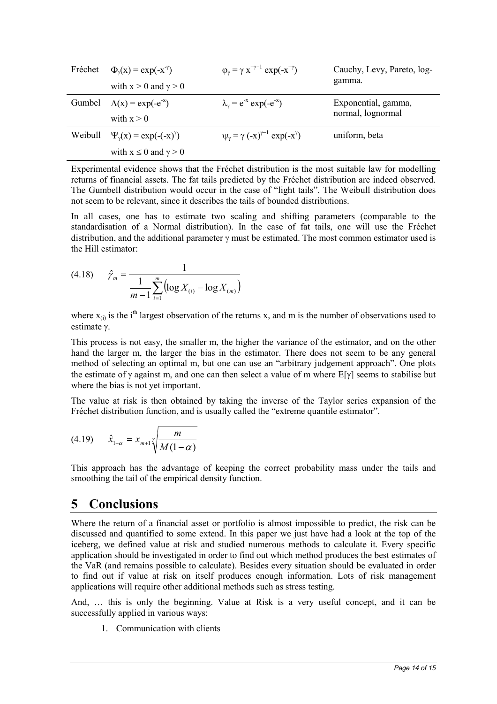| Fréchet | $\Phi_{\nu}(x) = \exp(-x^{-\gamma})$<br>with $x > 0$ and $\gamma > 0$ | $\varphi_{\gamma} = \gamma x^{-\gamma - 1} \exp(-x^{-\gamma})$ | Cauchy, Levy, Pareto, log-<br>gamma.     |
|---------|-----------------------------------------------------------------------|----------------------------------------------------------------|------------------------------------------|
| Gumbel  | $\Lambda(x) = \exp(-e^{-x})$<br>with $x > 0$                          | $\lambda_{\gamma} = e^{-x} \exp(-e^{-x})$                      | Exponential, gamma,<br>normal, lognormal |
| Weibull | $\Psi_{\nu}(x) = \exp(-(x)^{\gamma})$                                 | $\psi_{\gamma} = \gamma (-x)^{\gamma - 1} \exp(-x^{\gamma})$   | uniform, beta                            |
|         | with $x \le 0$ and $\gamma > 0$                                       |                                                                |                                          |

Experimental evidence shows that the Fréchet distribution is the most suitable law for modelling returns of financial assets. The fat tails predicted by the Fréchet distribution are indeed observed. The Gumbell distribution would occur in the case of "light tails". The Weibull distribution does not seem to be relevant, since it describes the tails of bounded distributions.

In all cases, one has to estimate two scaling and shifting parameters (comparable to the standardisation of a Normal distribution). In the case of fat tails, one will use the Fréchet distribution, and the additional parameter  $\gamma$  must be estimated. The most common estimator used is the Hill estimator:

(4.18) 
$$
\hat{\gamma}_m = \frac{1}{\frac{1}{m-1} \sum_{i=1}^m \left( \log X_{(i)} - \log X_{(m)} \right)}
$$

where  $x_{(i)}$  is the i<sup>th</sup> largest observation of the returns x, and m is the number of observations used to estimate  $v$ .

This process is not easy, the smaller m, the higher the variance of the estimator, and on the other hand the larger m, the larger the bias in the estimator. There does not seem to be any general method of selecting an optimal m, but one can use an "arbitrary judgement approach". One plots the estimate of  $\gamma$  against m, and one can then select a value of m where  $E[\gamma]$  seems to stabilise but where the bias is not yet important.

The value at risk is then obtained by taking the inverse of the Taylor series expansion of the Fréchet distribution function, and is usually called the "extreme quantile estimator".

(4.19) 
$$
\hat{x}_{1-\alpha} = x_{m+1} \sqrt{\frac{m}{M(1-\alpha)}}
$$

This approach has the advantage of keeping the correct probability mass under the tails and smoothing the tail of the empirical density function.

# **5 Conclusions**

Where the return of a financial asset or portfolio is almost impossible to predict, the risk can be discussed and quantified to some extend. In this paper we just have had a look at the top of the iceberg, we defined value at risk and studied numerous methods to calculate it. Every specific application should be investigated in order to find out which method produces the best estimates of the VaR (and remains possible to calculate). Besides every situation should be evaluated in order to find out if value at risk on itself produces enough information. Lots of risk management applications will require other additional methods such as stress testing.

And, … this is only the beginning. Value at Risk is a very useful concept, and it can be successfully applied in various ways:

1. Communication with clients